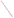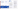"Encouraging involvement depends on recognizing and valuing contributions. Explanations of impact are THE best way to show a contributor the importance of speaking out. It builds consensus, too."

Jeff Carter Eastern Municipal Water District, Riverside County, CA Dialogue on Public Involvement in EPA Decisions

Telling people what EPA did with their comments helps to build a resilient relationship between EPA and stakeholders. When your responses show that EPA takes public ideas seriously and that participating really can influence environmental decisions, you help to build trust. This occurs only when people get honest, clear feedback about their comments.

### What to Consider When Providing Feedback to the **Public**

When you provide feedback on comments of minority or traditionally under-represented groups, you can increase the likelihood that they will participate again. Participation by traditionally under-represented groups can also shed new light on the Agency's goals and outcomes.

When increasing numbers of well-informed stakeholders participate, the Agency has the advantage of a wider range of ideas on new ways to carry out our mission.

The public needs to know that you appreciated and used their comments, how you used them, and if you did not use them, why. Your responses should discuss what changed because of public comments or should explain why the Agency did not accept ideas proposed in the comments by the public. All of this should be done in plain language that your audience can understand.

Unless you tell them clearly and as quickly as possible, they may never know and, in frustration, fail to comment the next time.

It is best to provide the Agency's specific responses to each comment or group of comments. Otherwise, discuss specific responses to significant issues raised in the comments.

If there are opportunities to share responses to public comments in public forums, give respectful, direct feedback in plain English.

## More Information about the Policy

Copies of the Policy and the Framework for implementing it are available at http://www.epa.gov/publicinvolvement/ policy2003/ policy2003.pdf and http://www.epa.gov/publicinvolvement/policy2003/ framework.pdf

The Web site for the "Internet Dialogue on Public Involvement in EPA Decisions" is http://www.network-democracy.org/epa-pip

EPA's Response to Comments on the Draft 2000 Public Involvement Policy is available at http://www.epa.gov/public involvement/policy2003/response.pdf

How to Review and Use Public Input, and Provide Feedback



Involvement brings the pieces together



Step 6: Review and Use Public Input, and Provide Feedback

#### Goal:

To consistently earn and retain the public's trust and credibility for EPA's actions and consultation processes by:

- Evaluating and assimilating public views and preferences into final decisions, where appropriate and possible, and
- Telling the public about the decisions and how public input affected those decisions

The U.S. Environmental Protection Agency (EPA) issued its new Public Involvement Policy in June 2003. The Policy's overall goal is for excellent public involvement to become an integral part of EPA's culture, thus supporting more effective Agency actions.

The Policy provides guidance to EPA managers and staff on how you can better involve the public in the Agency's decision-making processes. The Policy outlines seven steps to effective involvement. This brochure (one in a series) offers suggestions to help EPA staff members "get started" reviewing and using public input and providing feedback to the public about their involvement in EPA activities and processes.

### Why Review and Use Input and Provide Feedback to the Public?

Reviewing and using comments from the public and providing them feedback supports the process and those who contributed their ideas.

"People will only be willing to continue participating in Agency decisions if they believe that their ideas are seriously being considered and can have an effect on the outcome."

Carole Andress

Pollution Prevention Alliance - Environmental Defense Public Comments on the 2000 Draft Public Involvement Policy

"Involvement brings the pieces together" artwork is the creation of Erica Ann Turner, who contributed the work through an agreement between the Art Institute of Washington and EPA.

United States Environmental Protection Agency National Center for Environmental Innovation Public Involvement Staff 1200 Pennsylvania Avenue, NW 1807T Washington, DC 20460